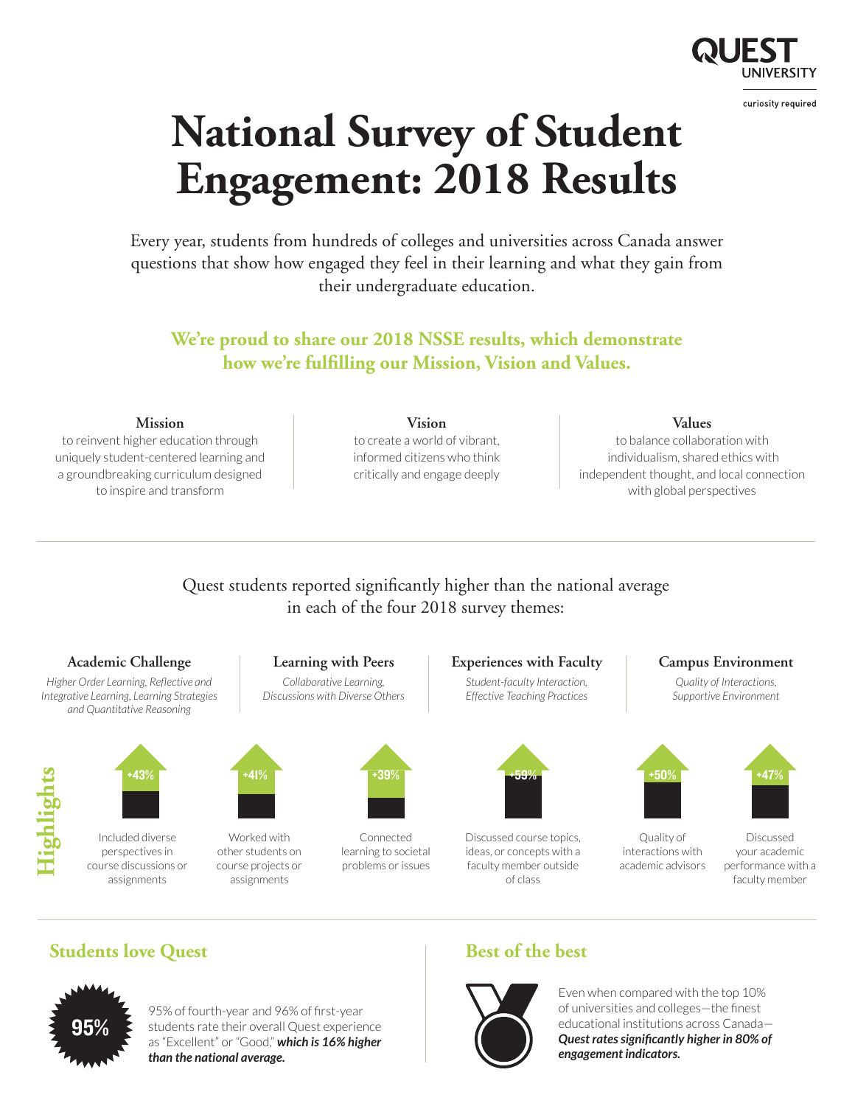

# **National Survey of Student Engagement: 2018 Results**

Every year, students from hundreds of colleges and universities across Canada answer questions that show how engaged they feel in their learning and what they gain from their undergraduate education.

# **We're proud to share our 2018 NSSE results, which demonstrate how we're fulfilling our Mission, Vision and Values.**

### **Mission**

to reinvent higher education through uniquely student-centered learning and a groundbreaking curriculum designed to inspire and transform



informed citizens who think critically and engage deeply

### **Values**

to balance collaboration with individualism, shared ethics with independent thought, and local connection with global perspectives

## Quest students reported significantly higher than the national average in each of the four 2018 survey themes:



# **Students love Quest Best of the best**



95% of fourth-year and 96% of first-year students rate their overall Quest experience as "Excellent" or "Good," *which is 16% higher than the national average.*



Even when compared with the top 10% of universities and colleges—the finest educational institutions across Canada— *Quest rates significantly higher in 80% of engagement indicators.*